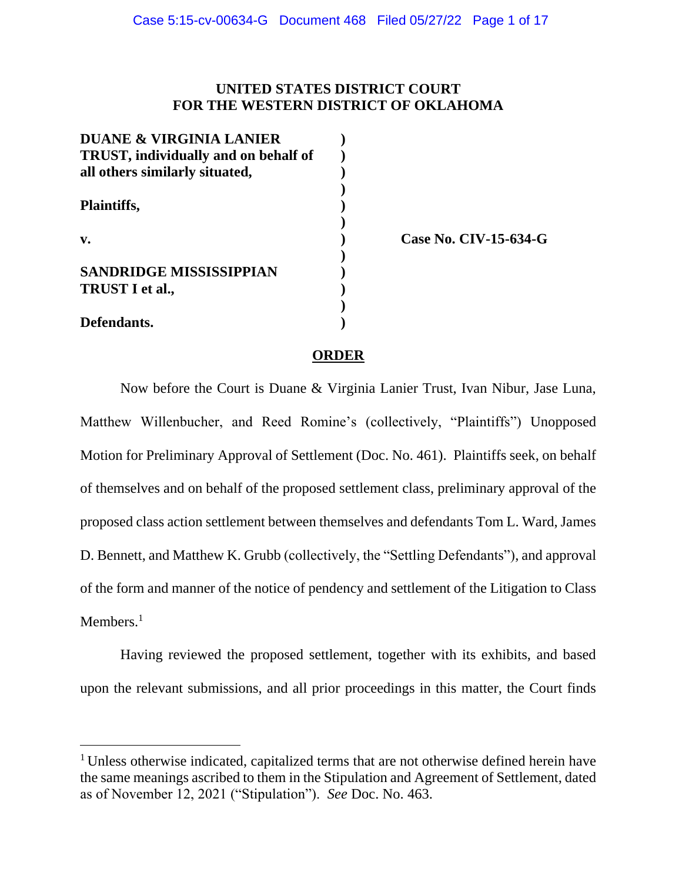# **UNITED STATES DISTRICT COURT FOR THE WESTERN DISTRICT OF OKLAHOMA**

| <b>DUANE &amp; VIRGINIA LANIER</b>   |  |
|--------------------------------------|--|
| TRUST, individually and on behalf of |  |
| all others similarly situated,       |  |
|                                      |  |
| Plaintiffs,                          |  |
|                                      |  |
| $\mathbf{v}$ .                       |  |
|                                      |  |
| <b>SANDRIDGE MISSISSIPPIAN</b>       |  |
| <b>TRUST I et al.,</b>               |  |
|                                      |  |
| Defendants.                          |  |

**v. ) Case No. CIV-15-634-G**

## **ORDER**

Now before the Court is Duane & Virginia Lanier Trust, Ivan Nibur, Jase Luna, Matthew Willenbucher, and Reed Romine's (collectively, "Plaintiffs") Unopposed Motion for Preliminary Approval of Settlement (Doc. No. 461). Plaintiffs seek, on behalf of themselves and on behalf of the proposed settlement class, preliminary approval of the proposed class action settlement between themselves and defendants Tom L. Ward, James D. Bennett, and Matthew K. Grubb (collectively, the "Settling Defendants"), and approval of the form and manner of the notice of pendency and settlement of the Litigation to Class Members.<sup>1</sup>

Having reviewed the proposed settlement, together with its exhibits, and based upon the relevant submissions, and all prior proceedings in this matter, the Court finds

<sup>&</sup>lt;sup>1</sup> Unless otherwise indicated, capitalized terms that are not otherwise defined herein have the same meanings ascribed to them in the Stipulation and Agreement of Settlement, dated as of November 12, 2021 ("Stipulation"). *See* Doc. No. 463.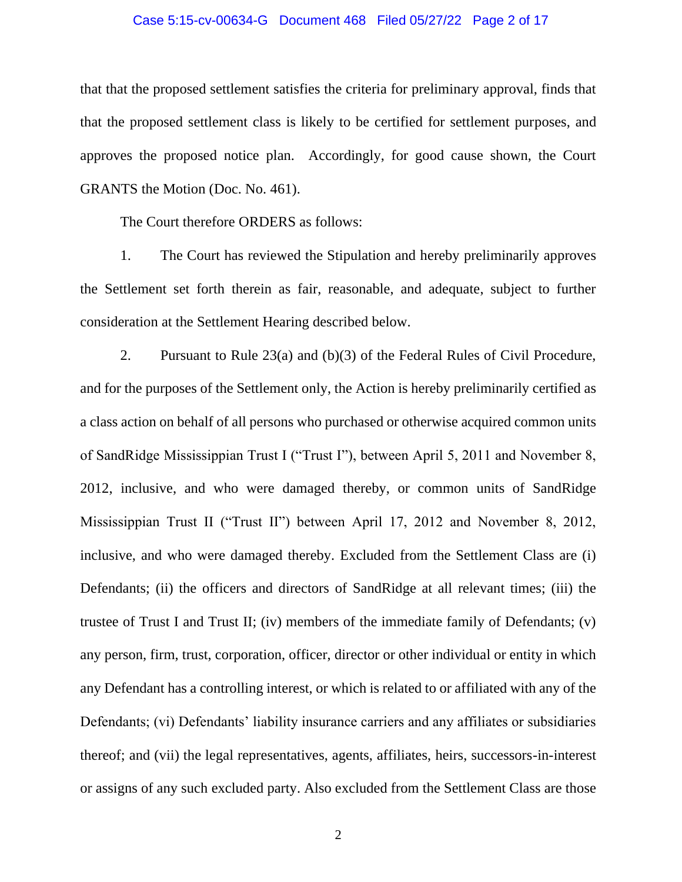## Case 5:15-cv-00634-G Document 468 Filed 05/27/22 Page 2 of 17

that that the proposed settlement satisfies the criteria for preliminary approval, finds that that the proposed settlement class is likely to be certified for settlement purposes, and approves the proposed notice plan. Accordingly, for good cause shown, the Court GRANTS the Motion (Doc. No. 461).

The Court therefore ORDERS as follows:

1. The Court has reviewed the Stipulation and hereby preliminarily approves the Settlement set forth therein as fair, reasonable, and adequate, subject to further consideration at the Settlement Hearing described below.

2. Pursuant to Rule 23(a) and (b)(3) of the Federal Rules of Civil Procedure, and for the purposes of the Settlement only, the Action is hereby preliminarily certified as a class action on behalf of all persons who purchased or otherwise acquired common units of SandRidge Mississippian Trust I ("Trust I"), between April 5, 2011 and November 8, 2012, inclusive, and who were damaged thereby, or common units of SandRidge Mississippian Trust II ("Trust II") between April 17, 2012 and November 8, 2012, inclusive, and who were damaged thereby. Excluded from the Settlement Class are (i) Defendants; (ii) the officers and directors of SandRidge at all relevant times; (iii) the trustee of Trust I and Trust II; (iv) members of the immediate family of Defendants; (v) any person, firm, trust, corporation, officer, director or other individual or entity in which any Defendant has a controlling interest, or which is related to or affiliated with any of the Defendants; (vi) Defendants' liability insurance carriers and any affiliates or subsidiaries thereof; and (vii) the legal representatives, agents, affiliates, heirs, successors-in-interest or assigns of any such excluded party. Also excluded from the Settlement Class are those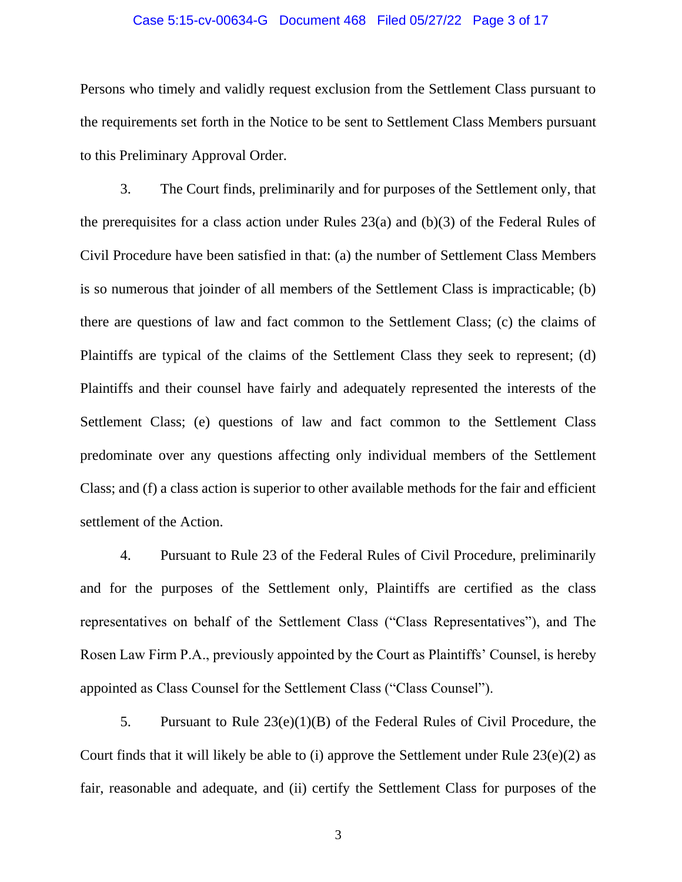#### Case 5:15-cv-00634-G Document 468 Filed 05/27/22 Page 3 of 17

Persons who timely and validly request exclusion from the Settlement Class pursuant to the requirements set forth in the Notice to be sent to Settlement Class Members pursuant to this Preliminary Approval Order.

3. The Court finds, preliminarily and for purposes of the Settlement only, that the prerequisites for a class action under Rules 23(a) and (b)(3) of the Federal Rules of Civil Procedure have been satisfied in that: (a) the number of Settlement Class Members is so numerous that joinder of all members of the Settlement Class is impracticable; (b) there are questions of law and fact common to the Settlement Class; (c) the claims of Plaintiffs are typical of the claims of the Settlement Class they seek to represent; (d) Plaintiffs and their counsel have fairly and adequately represented the interests of the Settlement Class; (e) questions of law and fact common to the Settlement Class predominate over any questions affecting only individual members of the Settlement Class; and (f) a class action is superior to other available methods for the fair and efficient settlement of the Action.

4. Pursuant to Rule 23 of the Federal Rules of Civil Procedure, preliminarily and for the purposes of the Settlement only, Plaintiffs are certified as the class representatives on behalf of the Settlement Class ("Class Representatives"), and The Rosen Law Firm P.A., previously appointed by the Court as Plaintiffs' Counsel, is hereby appointed as Class Counsel for the Settlement Class ("Class Counsel").

5. Pursuant to Rule 23(e)(1)(B) of the Federal Rules of Civil Procedure, the Court finds that it will likely be able to (i) approve the Settlement under Rule  $23(e)(2)$  as fair, reasonable and adequate, and (ii) certify the Settlement Class for purposes of the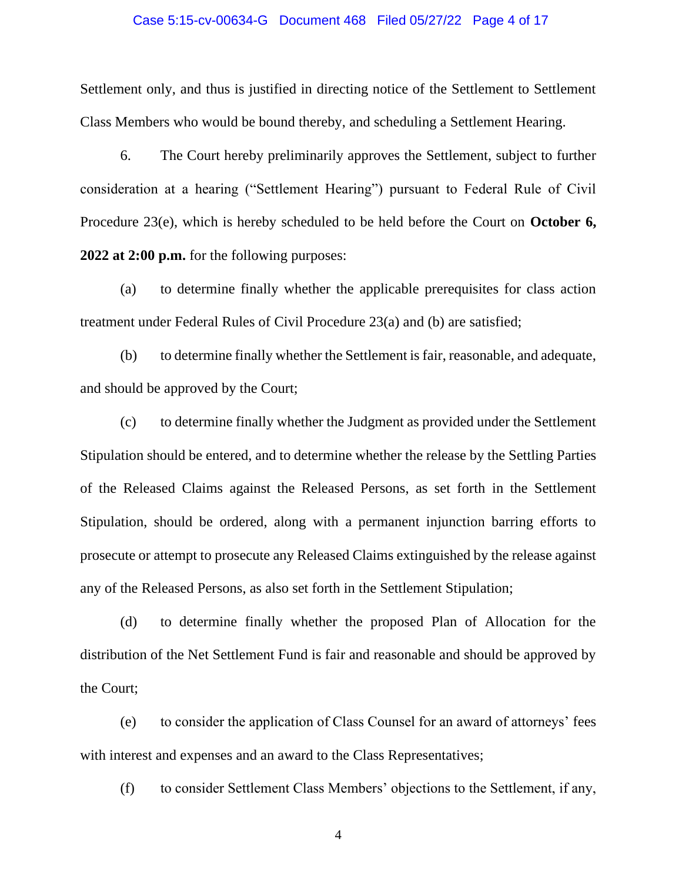### Case 5:15-cv-00634-G Document 468 Filed 05/27/22 Page 4 of 17

Settlement only, and thus is justified in directing notice of the Settlement to Settlement Class Members who would be bound thereby, and scheduling a Settlement Hearing.

6. The Court hereby preliminarily approves the Settlement, subject to further consideration at a hearing ("Settlement Hearing") pursuant to Federal Rule of Civil Procedure 23(e), which is hereby scheduled to be held before the Court on **October 6, 2022 at 2:00 p.m.** for the following purposes:

(a) to determine finally whether the applicable prerequisites for class action treatment under Federal Rules of Civil Procedure 23(a) and (b) are satisfied;

(b) to determine finally whether the Settlement is fair, reasonable, and adequate, and should be approved by the Court;

(c) to determine finally whether the Judgment as provided under the Settlement Stipulation should be entered, and to determine whether the release by the Settling Parties of the Released Claims against the Released Persons, as set forth in the Settlement Stipulation, should be ordered, along with a permanent injunction barring efforts to prosecute or attempt to prosecute any Released Claims extinguished by the release against any of the Released Persons, as also set forth in the Settlement Stipulation;

(d) to determine finally whether the proposed Plan of Allocation for the distribution of the Net Settlement Fund is fair and reasonable and should be approved by the Court;

(e) to consider the application of Class Counsel for an award of attorneys' fees with interest and expenses and an award to the Class Representatives;

(f) to consider Settlement Class Members' objections to the Settlement, if any,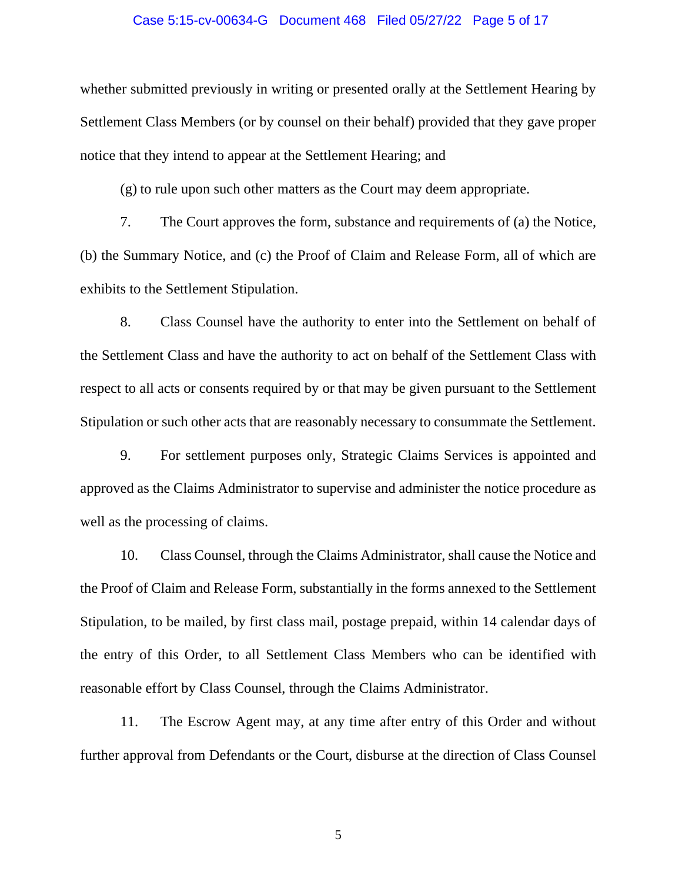#### Case 5:15-cv-00634-G Document 468 Filed 05/27/22 Page 5 of 17

whether submitted previously in writing or presented orally at the Settlement Hearing by Settlement Class Members (or by counsel on their behalf) provided that they gave proper notice that they intend to appear at the Settlement Hearing; and

(g) to rule upon such other matters as the Court may deem appropriate.

7. The Court approves the form, substance and requirements of (a) the Notice, (b) the Summary Notice, and (c) the Proof of Claim and Release Form, all of which are exhibits to the Settlement Stipulation.

8. Class Counsel have the authority to enter into the Settlement on behalf of the Settlement Class and have the authority to act on behalf of the Settlement Class with respect to all acts or consents required by or that may be given pursuant to the Settlement Stipulation or such other acts that are reasonably necessary to consummate the Settlement.

9. For settlement purposes only, Strategic Claims Services is appointed and approved as the Claims Administrator to supervise and administer the notice procedure as well as the processing of claims.

10. Class Counsel, through the Claims Administrator, shall cause the Notice and the Proof of Claim and Release Form, substantially in the forms annexed to the Settlement Stipulation, to be mailed, by first class mail, postage prepaid, within 14 calendar days of the entry of this Order, to all Settlement Class Members who can be identified with reasonable effort by Class Counsel, through the Claims Administrator.

11. The Escrow Agent may, at any time after entry of this Order and without further approval from Defendants or the Court, disburse at the direction of Class Counsel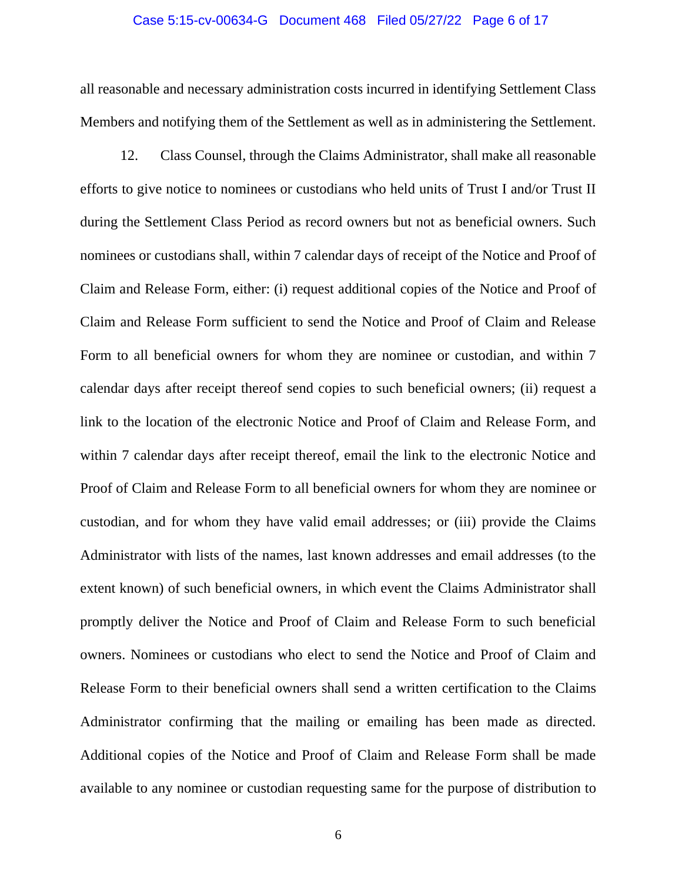#### Case 5:15-cv-00634-G Document 468 Filed 05/27/22 Page 6 of 17

all reasonable and necessary administration costs incurred in identifying Settlement Class Members and notifying them of the Settlement as well as in administering the Settlement.

12. Class Counsel, through the Claims Administrator, shall make all reasonable efforts to give notice to nominees or custodians who held units of Trust I and/or Trust II during the Settlement Class Period as record owners but not as beneficial owners. Such nominees or custodians shall, within 7 calendar days of receipt of the Notice and Proof of Claim and Release Form, either: (i) request additional copies of the Notice and Proof of Claim and Release Form sufficient to send the Notice and Proof of Claim and Release Form to all beneficial owners for whom they are nominee or custodian, and within 7 calendar days after receipt thereof send copies to such beneficial owners; (ii) request a link to the location of the electronic Notice and Proof of Claim and Release Form, and within 7 calendar days after receipt thereof, email the link to the electronic Notice and Proof of Claim and Release Form to all beneficial owners for whom they are nominee or custodian, and for whom they have valid email addresses; or (iii) provide the Claims Administrator with lists of the names, last known addresses and email addresses (to the extent known) of such beneficial owners, in which event the Claims Administrator shall promptly deliver the Notice and Proof of Claim and Release Form to such beneficial owners. Nominees or custodians who elect to send the Notice and Proof of Claim and Release Form to their beneficial owners shall send a written certification to the Claims Administrator confirming that the mailing or emailing has been made as directed. Additional copies of the Notice and Proof of Claim and Release Form shall be made available to any nominee or custodian requesting same for the purpose of distribution to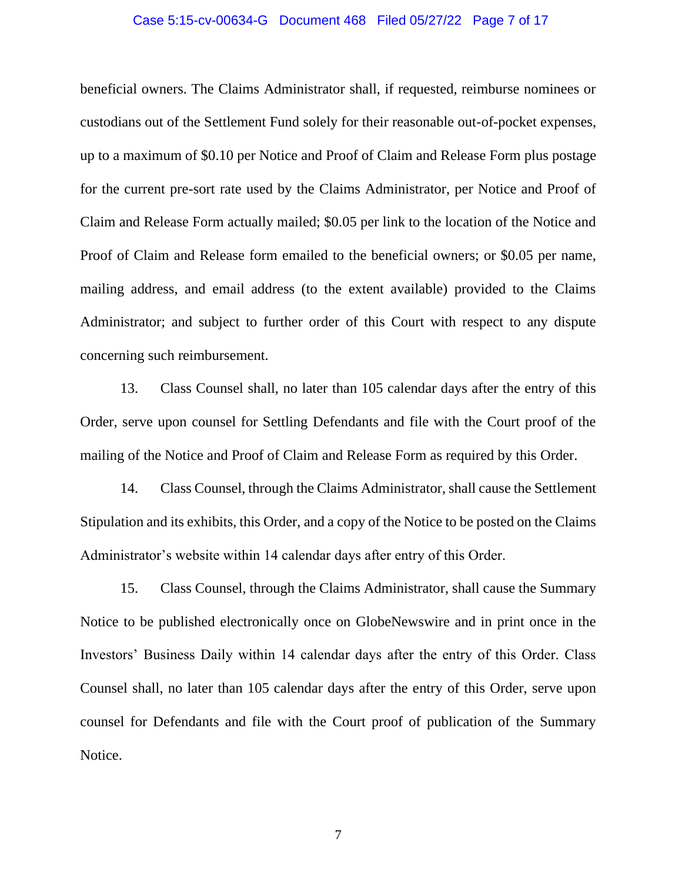#### Case 5:15-cv-00634-G Document 468 Filed 05/27/22 Page 7 of 17

beneficial owners. The Claims Administrator shall, if requested, reimburse nominees or custodians out of the Settlement Fund solely for their reasonable out-of-pocket expenses, up to a maximum of \$0.10 per Notice and Proof of Claim and Release Form plus postage for the current pre-sort rate used by the Claims Administrator, per Notice and Proof of Claim and Release Form actually mailed; \$0.05 per link to the location of the Notice and Proof of Claim and Release form emailed to the beneficial owners; or \$0.05 per name, mailing address, and email address (to the extent available) provided to the Claims Administrator; and subject to further order of this Court with respect to any dispute concerning such reimbursement.

13. Class Counsel shall, no later than 105 calendar days after the entry of this Order, serve upon counsel for Settling Defendants and file with the Court proof of the mailing of the Notice and Proof of Claim and Release Form as required by this Order.

14. Class Counsel, through the Claims Administrator, shall cause the Settlement Stipulation and its exhibits, this Order, and a copy of the Notice to be posted on the Claims Administrator's website within 14 calendar days after entry of this Order.

15. Class Counsel, through the Claims Administrator, shall cause the Summary Notice to be published electronically once on GlobeNewswire and in print once in the Investors' Business Daily within 14 calendar days after the entry of this Order. Class Counsel shall, no later than 105 calendar days after the entry of this Order, serve upon counsel for Defendants and file with the Court proof of publication of the Summary Notice.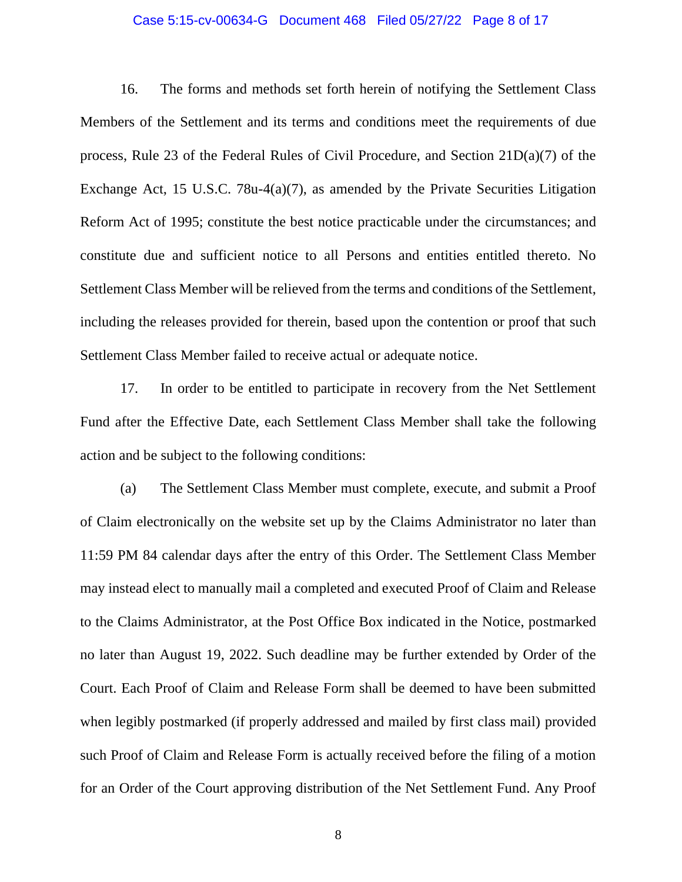#### Case 5:15-cv-00634-G Document 468 Filed 05/27/22 Page 8 of 17

16. The forms and methods set forth herein of notifying the Settlement Class Members of the Settlement and its terms and conditions meet the requirements of due process, Rule 23 of the Federal Rules of Civil Procedure, and Section 21D(a)(7) of the Exchange Act, 15 U.S.C. 78u-4(a)(7), as amended by the Private Securities Litigation Reform Act of 1995; constitute the best notice practicable under the circumstances; and constitute due and sufficient notice to all Persons and entities entitled thereto. No Settlement Class Member will be relieved from the terms and conditions of the Settlement, including the releases provided for therein, based upon the contention or proof that such Settlement Class Member failed to receive actual or adequate notice.

17. In order to be entitled to participate in recovery from the Net Settlement Fund after the Effective Date, each Settlement Class Member shall take the following action and be subject to the following conditions:

(a) The Settlement Class Member must complete, execute, and submit a Proof of Claim electronically on the website set up by the Claims Administrator no later than 11:59 PM 84 calendar days after the entry of this Order. The Settlement Class Member may instead elect to manually mail a completed and executed Proof of Claim and Release to the Claims Administrator, at the Post Office Box indicated in the Notice, postmarked no later than August 19, 2022. Such deadline may be further extended by Order of the Court. Each Proof of Claim and Release Form shall be deemed to have been submitted when legibly postmarked (if properly addressed and mailed by first class mail) provided such Proof of Claim and Release Form is actually received before the filing of a motion for an Order of the Court approving distribution of the Net Settlement Fund. Any Proof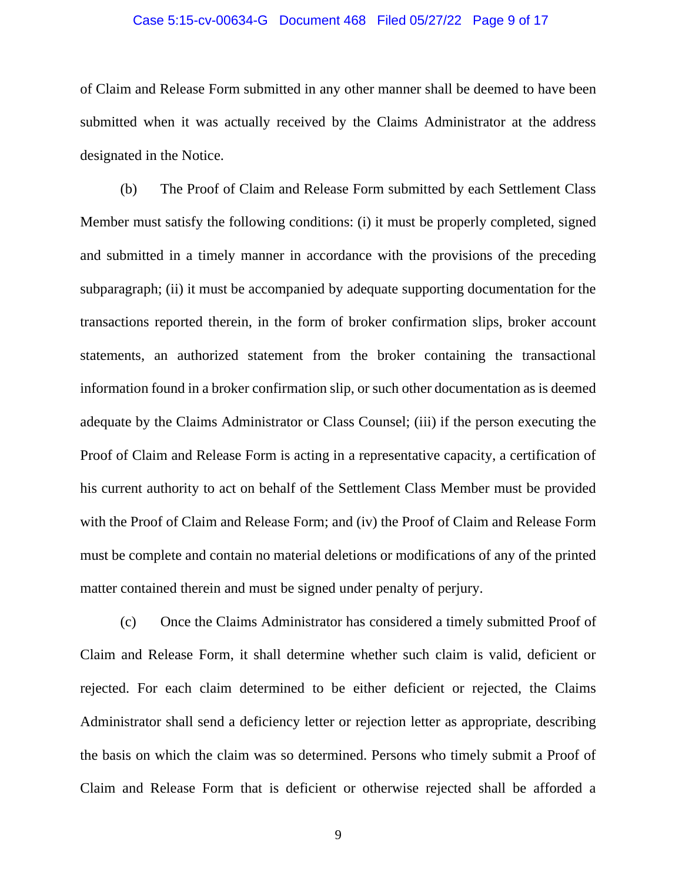#### Case 5:15-cv-00634-G Document 468 Filed 05/27/22 Page 9 of 17

of Claim and Release Form submitted in any other manner shall be deemed to have been submitted when it was actually received by the Claims Administrator at the address designated in the Notice.

(b) The Proof of Claim and Release Form submitted by each Settlement Class Member must satisfy the following conditions: (i) it must be properly completed, signed and submitted in a timely manner in accordance with the provisions of the preceding subparagraph; (ii) it must be accompanied by adequate supporting documentation for the transactions reported therein, in the form of broker confirmation slips, broker account statements, an authorized statement from the broker containing the transactional information found in a broker confirmation slip, or such other documentation as is deemed adequate by the Claims Administrator or Class Counsel; (iii) if the person executing the Proof of Claim and Release Form is acting in a representative capacity, a certification of his current authority to act on behalf of the Settlement Class Member must be provided with the Proof of Claim and Release Form; and (iv) the Proof of Claim and Release Form must be complete and contain no material deletions or modifications of any of the printed matter contained therein and must be signed under penalty of perjury.

(c) Once the Claims Administrator has considered a timely submitted Proof of Claim and Release Form, it shall determine whether such claim is valid, deficient or rejected. For each claim determined to be either deficient or rejected, the Claims Administrator shall send a deficiency letter or rejection letter as appropriate, describing the basis on which the claim was so determined. Persons who timely submit a Proof of Claim and Release Form that is deficient or otherwise rejected shall be afforded a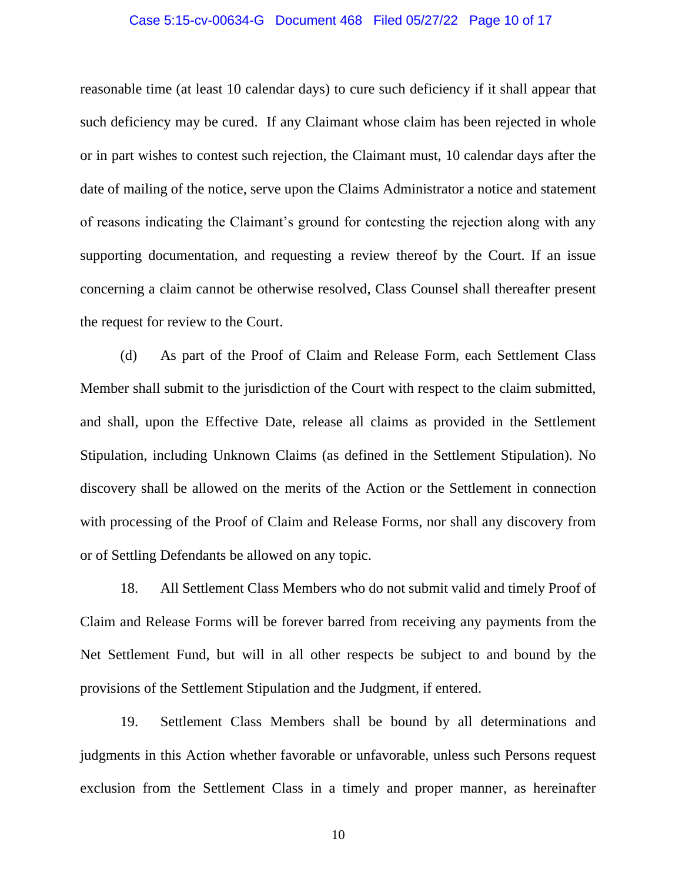#### Case 5:15-cv-00634-G Document 468 Filed 05/27/22 Page 10 of 17

reasonable time (at least 10 calendar days) to cure such deficiency if it shall appear that such deficiency may be cured. If any Claimant whose claim has been rejected in whole or in part wishes to contest such rejection, the Claimant must, 10 calendar days after the date of mailing of the notice, serve upon the Claims Administrator a notice and statement of reasons indicating the Claimant's ground for contesting the rejection along with any supporting documentation, and requesting a review thereof by the Court. If an issue concerning a claim cannot be otherwise resolved, Class Counsel shall thereafter present the request for review to the Court.

(d) As part of the Proof of Claim and Release Form, each Settlement Class Member shall submit to the jurisdiction of the Court with respect to the claim submitted, and shall, upon the Effective Date, release all claims as provided in the Settlement Stipulation, including Unknown Claims (as defined in the Settlement Stipulation). No discovery shall be allowed on the merits of the Action or the Settlement in connection with processing of the Proof of Claim and Release Forms, nor shall any discovery from or of Settling Defendants be allowed on any topic.

18. All Settlement Class Members who do not submit valid and timely Proof of Claim and Release Forms will be forever barred from receiving any payments from the Net Settlement Fund, but will in all other respects be subject to and bound by the provisions of the Settlement Stipulation and the Judgment, if entered.

19. Settlement Class Members shall be bound by all determinations and judgments in this Action whether favorable or unfavorable, unless such Persons request exclusion from the Settlement Class in a timely and proper manner, as hereinafter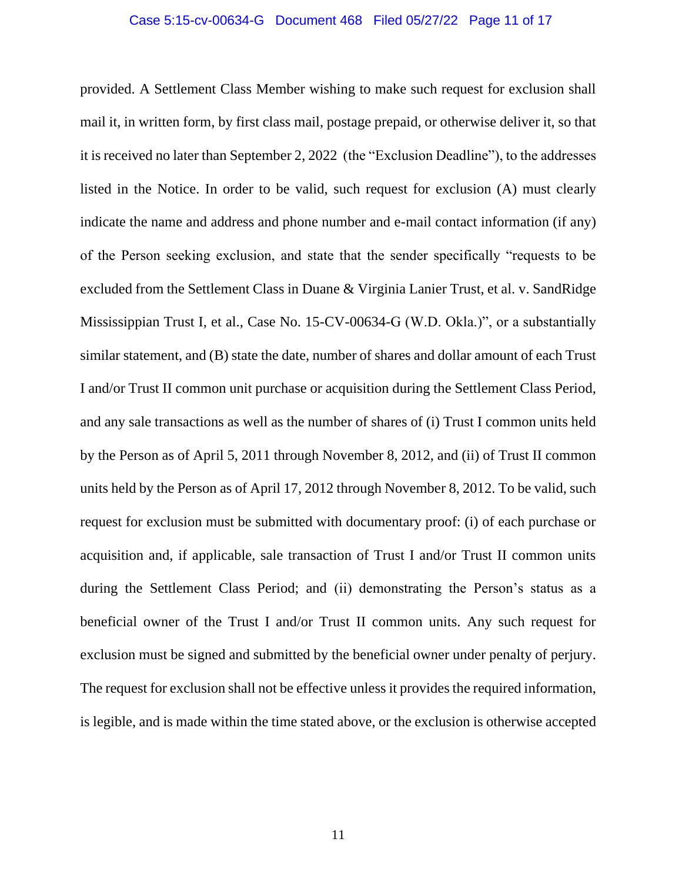#### Case 5:15-cv-00634-G Document 468 Filed 05/27/22 Page 11 of 17

provided. A Settlement Class Member wishing to make such request for exclusion shall mail it, in written form, by first class mail, postage prepaid, or otherwise deliver it, so that it is received no later than September 2, 2022 (the "Exclusion Deadline"), to the addresses listed in the Notice. In order to be valid, such request for exclusion (A) must clearly indicate the name and address and phone number and e-mail contact information (if any) of the Person seeking exclusion, and state that the sender specifically "requests to be excluded from the Settlement Class in Duane & Virginia Lanier Trust, et al. v. SandRidge Mississippian Trust I, et al., Case No. 15-CV-00634-G (W.D. Okla.)", or a substantially similar statement, and (B) state the date, number of shares and dollar amount of each Trust I and/or Trust II common unit purchase or acquisition during the Settlement Class Period, and any sale transactions as well as the number of shares of (i) Trust I common units held by the Person as of April 5, 2011 through November 8, 2012, and (ii) of Trust II common units held by the Person as of April 17, 2012 through November 8, 2012. To be valid, such request for exclusion must be submitted with documentary proof: (i) of each purchase or acquisition and, if applicable, sale transaction of Trust I and/or Trust II common units during the Settlement Class Period; and (ii) demonstrating the Person's status as a beneficial owner of the Trust I and/or Trust II common units. Any such request for exclusion must be signed and submitted by the beneficial owner under penalty of perjury. The request for exclusion shall not be effective unless it provides the required information, is legible, and is made within the time stated above, or the exclusion is otherwise accepted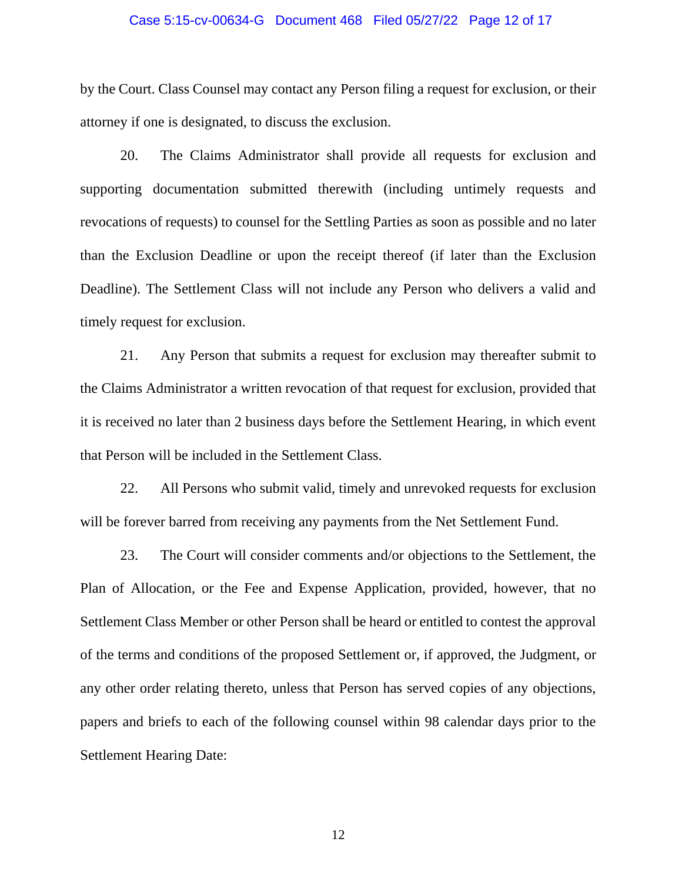#### Case 5:15-cv-00634-G Document 468 Filed 05/27/22 Page 12 of 17

by the Court. Class Counsel may contact any Person filing a request for exclusion, or their attorney if one is designated, to discuss the exclusion.

20. The Claims Administrator shall provide all requests for exclusion and supporting documentation submitted therewith (including untimely requests and revocations of requests) to counsel for the Settling Parties as soon as possible and no later than the Exclusion Deadline or upon the receipt thereof (if later than the Exclusion Deadline). The Settlement Class will not include any Person who delivers a valid and timely request for exclusion.

21. Any Person that submits a request for exclusion may thereafter submit to the Claims Administrator a written revocation of that request for exclusion, provided that it is received no later than 2 business days before the Settlement Hearing, in which event that Person will be included in the Settlement Class.

22. All Persons who submit valid, timely and unrevoked requests for exclusion will be forever barred from receiving any payments from the Net Settlement Fund.

23. The Court will consider comments and/or objections to the Settlement, the Plan of Allocation, or the Fee and Expense Application, provided, however, that no Settlement Class Member or other Person shall be heard or entitled to contest the approval of the terms and conditions of the proposed Settlement or, if approved, the Judgment, or any other order relating thereto, unless that Person has served copies of any objections, papers and briefs to each of the following counsel within 98 calendar days prior to the Settlement Hearing Date: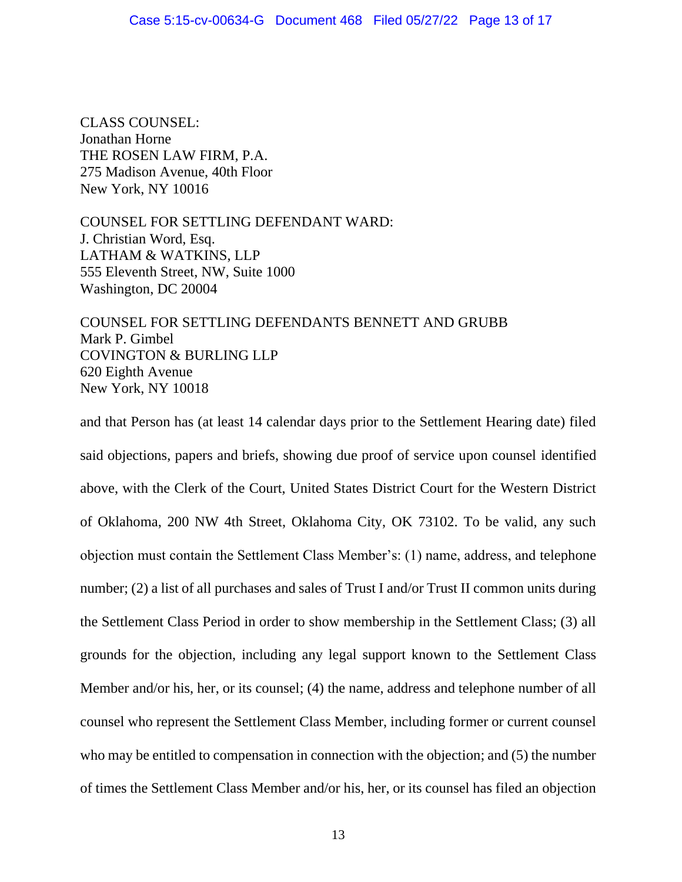CLASS COUNSEL: Jonathan Horne THE ROSEN LAW FIRM, P.A. 275 Madison Avenue, 40th Floor New York, NY 10016

COUNSEL FOR SETTLING DEFENDANT WARD: J. Christian Word, Esq. LATHAM & WATKINS, LLP 555 Eleventh Street, NW, Suite 1000 Washington, DC 20004

COUNSEL FOR SETTLING DEFENDANTS BENNETT AND GRUBB Mark P. Gimbel COVINGTON & BURLING LLP 620 Eighth Avenue New York, NY 10018

and that Person has (at least 14 calendar days prior to the Settlement Hearing date) filed said objections, papers and briefs, showing due proof of service upon counsel identified above, with the Clerk of the Court, United States District Court for the Western District of Oklahoma, 200 NW 4th Street, Oklahoma City, OK 73102. To be valid, any such objection must contain the Settlement Class Member's: (1) name, address, and telephone number; (2) a list of all purchases and sales of Trust I and/or Trust II common units during the Settlement Class Period in order to show membership in the Settlement Class; (3) all grounds for the objection, including any legal support known to the Settlement Class Member and/or his, her, or its counsel; (4) the name, address and telephone number of all counsel who represent the Settlement Class Member, including former or current counsel who may be entitled to compensation in connection with the objection; and (5) the number of times the Settlement Class Member and/or his, her, or its counsel has filed an objection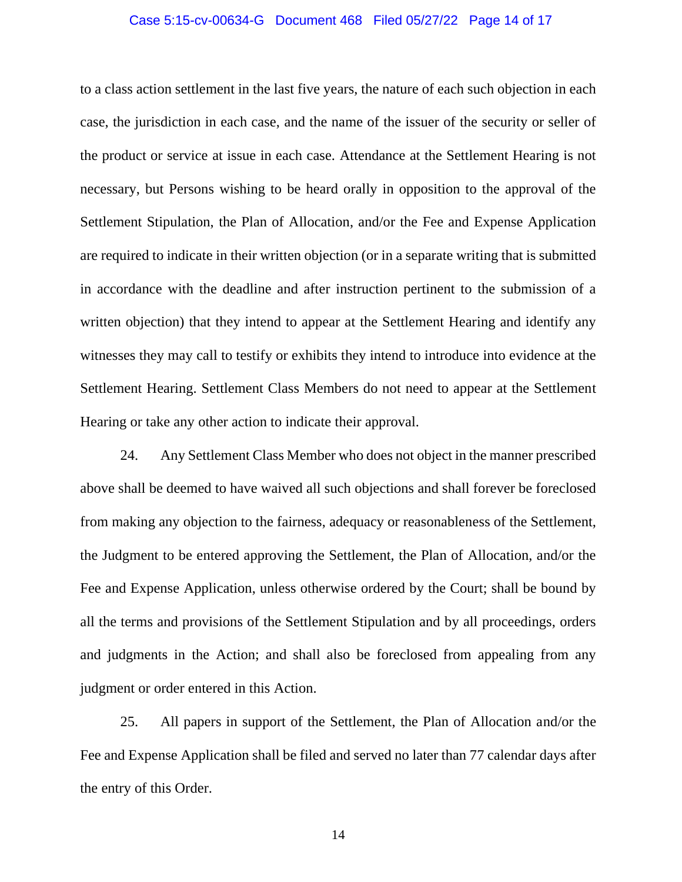#### Case 5:15-cv-00634-G Document 468 Filed 05/27/22 Page 14 of 17

to a class action settlement in the last five years, the nature of each such objection in each case, the jurisdiction in each case, and the name of the issuer of the security or seller of the product or service at issue in each case. Attendance at the Settlement Hearing is not necessary, but Persons wishing to be heard orally in opposition to the approval of the Settlement Stipulation, the Plan of Allocation, and/or the Fee and Expense Application are required to indicate in their written objection (or in a separate writing that is submitted in accordance with the deadline and after instruction pertinent to the submission of a written objection) that they intend to appear at the Settlement Hearing and identify any witnesses they may call to testify or exhibits they intend to introduce into evidence at the Settlement Hearing. Settlement Class Members do not need to appear at the Settlement Hearing or take any other action to indicate their approval.

24. Any Settlement Class Member who does not object in the manner prescribed above shall be deemed to have waived all such objections and shall forever be foreclosed from making any objection to the fairness, adequacy or reasonableness of the Settlement, the Judgment to be entered approving the Settlement, the Plan of Allocation, and/or the Fee and Expense Application, unless otherwise ordered by the Court; shall be bound by all the terms and provisions of the Settlement Stipulation and by all proceedings, orders and judgments in the Action; and shall also be foreclosed from appealing from any judgment or order entered in this Action.

25. All papers in support of the Settlement, the Plan of Allocation and/or the Fee and Expense Application shall be filed and served no later than 77 calendar days after the entry of this Order.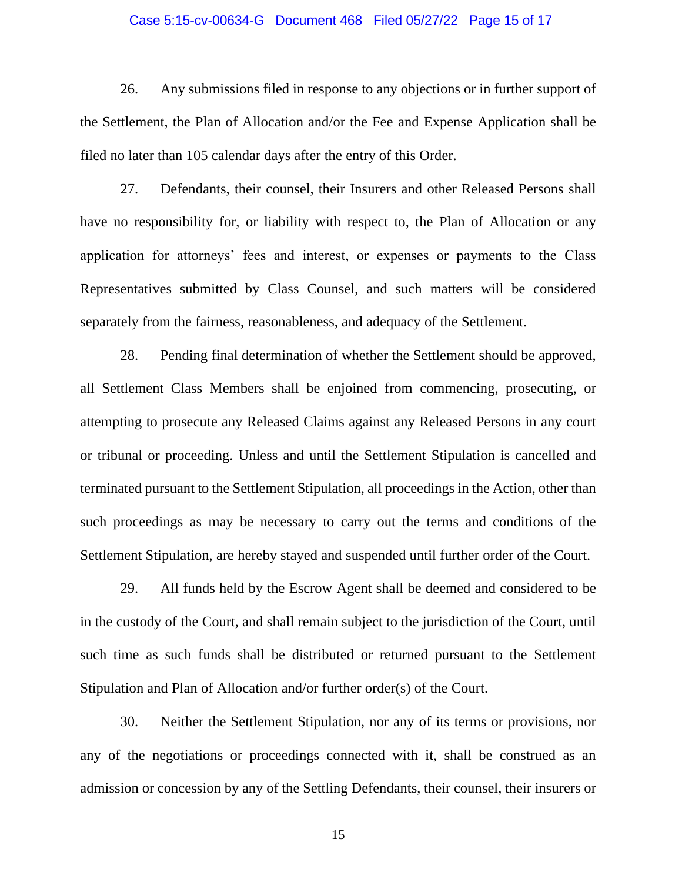#### Case 5:15-cv-00634-G Document 468 Filed 05/27/22 Page 15 of 17

26. Any submissions filed in response to any objections or in further support of the Settlement, the Plan of Allocation and/or the Fee and Expense Application shall be filed no later than 105 calendar days after the entry of this Order.

27. Defendants, their counsel, their Insurers and other Released Persons shall have no responsibility for, or liability with respect to, the Plan of Allocation or any application for attorneys' fees and interest, or expenses or payments to the Class Representatives submitted by Class Counsel, and such matters will be considered separately from the fairness, reasonableness, and adequacy of the Settlement.

28. Pending final determination of whether the Settlement should be approved, all Settlement Class Members shall be enjoined from commencing, prosecuting, or attempting to prosecute any Released Claims against any Released Persons in any court or tribunal or proceeding. Unless and until the Settlement Stipulation is cancelled and terminated pursuant to the Settlement Stipulation, all proceedings in the Action, other than such proceedings as may be necessary to carry out the terms and conditions of the Settlement Stipulation, are hereby stayed and suspended until further order of the Court.

29. All funds held by the Escrow Agent shall be deemed and considered to be in the custody of the Court, and shall remain subject to the jurisdiction of the Court, until such time as such funds shall be distributed or returned pursuant to the Settlement Stipulation and Plan of Allocation and/or further order(s) of the Court.

30. Neither the Settlement Stipulation, nor any of its terms or provisions, nor any of the negotiations or proceedings connected with it, shall be construed as an admission or concession by any of the Settling Defendants, their counsel, their insurers or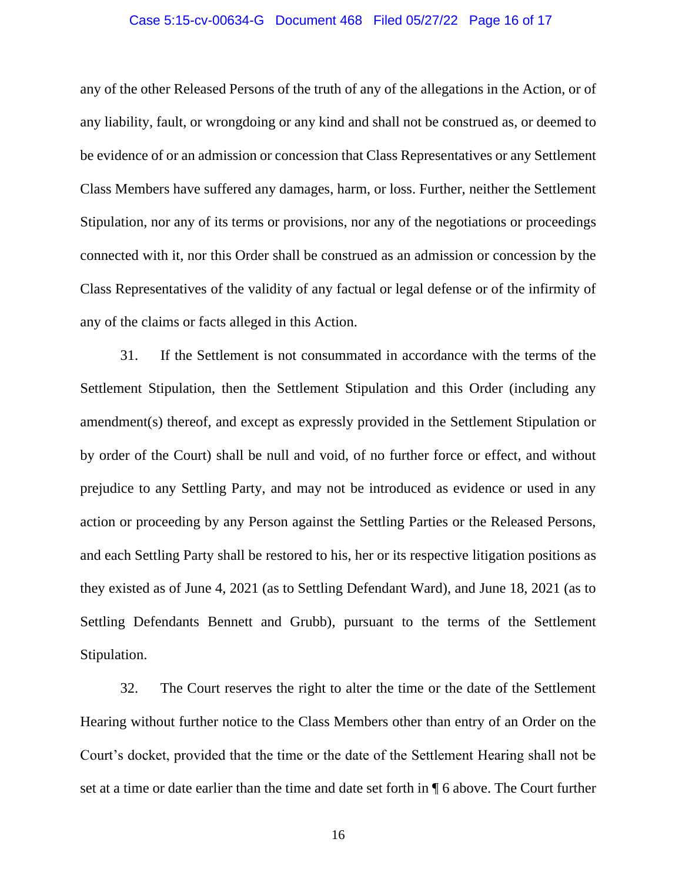#### Case 5:15-cv-00634-G Document 468 Filed 05/27/22 Page 16 of 17

any of the other Released Persons of the truth of any of the allegations in the Action, or of any liability, fault, or wrongdoing or any kind and shall not be construed as, or deemed to be evidence of or an admission or concession that Class Representatives or any Settlement Class Members have suffered any damages, harm, or loss. Further, neither the Settlement Stipulation, nor any of its terms or provisions, nor any of the negotiations or proceedings connected with it, nor this Order shall be construed as an admission or concession by the Class Representatives of the validity of any factual or legal defense or of the infirmity of any of the claims or facts alleged in this Action.

31. If the Settlement is not consummated in accordance with the terms of the Settlement Stipulation, then the Settlement Stipulation and this Order (including any amendment(s) thereof, and except as expressly provided in the Settlement Stipulation or by order of the Court) shall be null and void, of no further force or effect, and without prejudice to any Settling Party, and may not be introduced as evidence or used in any action or proceeding by any Person against the Settling Parties or the Released Persons, and each Settling Party shall be restored to his, her or its respective litigation positions as they existed as of June 4, 2021 (as to Settling Defendant Ward), and June 18, 2021 (as to Settling Defendants Bennett and Grubb), pursuant to the terms of the Settlement Stipulation.

32. The Court reserves the right to alter the time or the date of the Settlement Hearing without further notice to the Class Members other than entry of an Order on the Court's docket, provided that the time or the date of the Settlement Hearing shall not be set at a time or date earlier than the time and date set forth in ¶ 6 above. The Court further